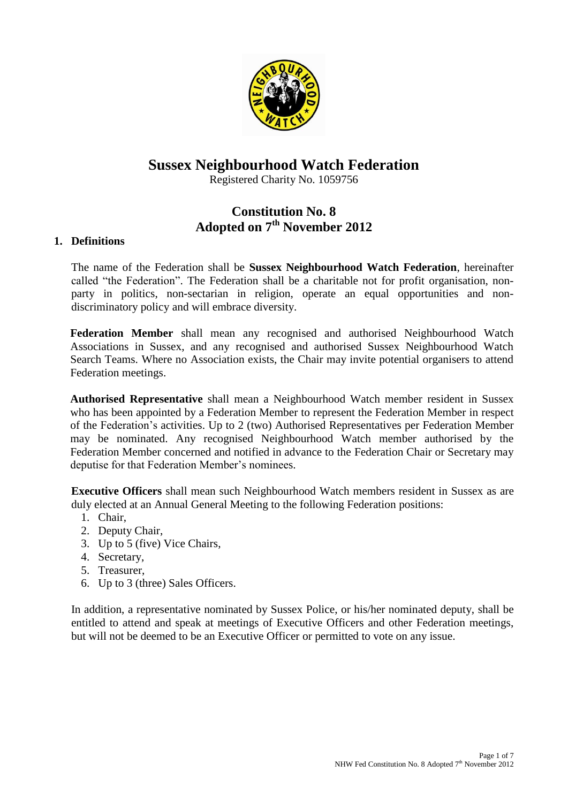

# **Sussex Neighbourhood Watch Federation**

Registered Charity No. 1059756

# **Constitution No. 8 Adopted on 7th November 2012**

# **1. Definitions**

The name of the Federation shall be **Sussex Neighbourhood Watch Federation**, hereinafter called "the Federation". The Federation shall be a charitable not for profit organisation, nonparty in politics, non-sectarian in religion, operate an equal opportunities and nondiscriminatory policy and will embrace diversity.

**Federation Member** shall mean any recognised and authorised Neighbourhood Watch Associations in Sussex, and any recognised and authorised Sussex Neighbourhood Watch Search Teams. Where no Association exists, the Chair may invite potential organisers to attend Federation meetings.

**Authorised Representative** shall mean a Neighbourhood Watch member resident in Sussex who has been appointed by a Federation Member to represent the Federation Member in respect of the Federation's activities. Up to 2 (two) Authorised Representatives per Federation Member may be nominated. Any recognised Neighbourhood Watch member authorised by the Federation Member concerned and notified in advance to the Federation Chair or Secretary may deputise for that Federation Member's nominees.

**Executive Officers** shall mean such Neighbourhood Watch members resident in Sussex as are duly elected at an Annual General Meeting to the following Federation positions:

- 1. Chair,
- 2. Deputy Chair,
- 3. Up to 5 (five) Vice Chairs,
- 4. Secretary,
- 5. Treasurer,
- 6. Up to 3 (three) Sales Officers.

In addition, a representative nominated by Sussex Police, or his/her nominated deputy, shall be entitled to attend and speak at meetings of Executive Officers and other Federation meetings, but will not be deemed to be an Executive Officer or permitted to vote on any issue.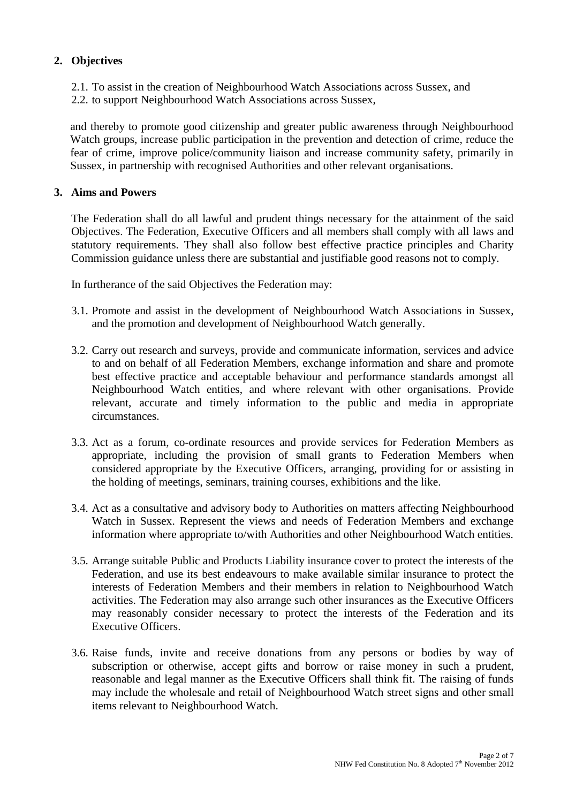# **2. Objectives**

- 2.1. To assist in the creation of Neighbourhood Watch Associations across Sussex, and
- 2.2. to support Neighbourhood Watch Associations across Sussex,

and thereby to promote good citizenship and greater public awareness through Neighbourhood Watch groups, increase public participation in the prevention and detection of crime, reduce the fear of crime, improve police/community liaison and increase community safety, primarily in Sussex, in partnership with recognised Authorities and other relevant organisations.

#### **3. Aims and Powers**

The Federation shall do all lawful and prudent things necessary for the attainment of the said Objectives. The Federation, Executive Officers and all members shall comply with all laws and statutory requirements. They shall also follow best effective practice principles and Charity Commission guidance unless there are substantial and justifiable good reasons not to comply.

In furtherance of the said Objectives the Federation may:

- 3.1. Promote and assist in the development of Neighbourhood Watch Associations in Sussex, and the promotion and development of Neighbourhood Watch generally.
- 3.2. Carry out research and surveys, provide and communicate information, services and advice to and on behalf of all Federation Members, exchange information and share and promote best effective practice and acceptable behaviour and performance standards amongst all Neighbourhood Watch entities, and where relevant with other organisations. Provide relevant, accurate and timely information to the public and media in appropriate circumstances.
- 3.3. Act as a forum, co-ordinate resources and provide services for Federation Members as appropriate, including the provision of small grants to Federation Members when considered appropriate by the Executive Officers, arranging, providing for or assisting in the holding of meetings, seminars, training courses, exhibitions and the like.
- 3.4. Act as a consultative and advisory body to Authorities on matters affecting Neighbourhood Watch in Sussex. Represent the views and needs of Federation Members and exchange information where appropriate to/with Authorities and other Neighbourhood Watch entities.
- 3.5. Arrange suitable Public and Products Liability insurance cover to protect the interests of the Federation, and use its best endeavours to make available similar insurance to protect the interests of Federation Members and their members in relation to Neighbourhood Watch activities. The Federation may also arrange such other insurances as the Executive Officers may reasonably consider necessary to protect the interests of the Federation and its Executive Officers.
- 3.6. Raise funds, invite and receive donations from any persons or bodies by way of subscription or otherwise, accept gifts and borrow or raise money in such a prudent, reasonable and legal manner as the Executive Officers shall think fit. The raising of funds may include the wholesale and retail of Neighbourhood Watch street signs and other small items relevant to Neighbourhood Watch.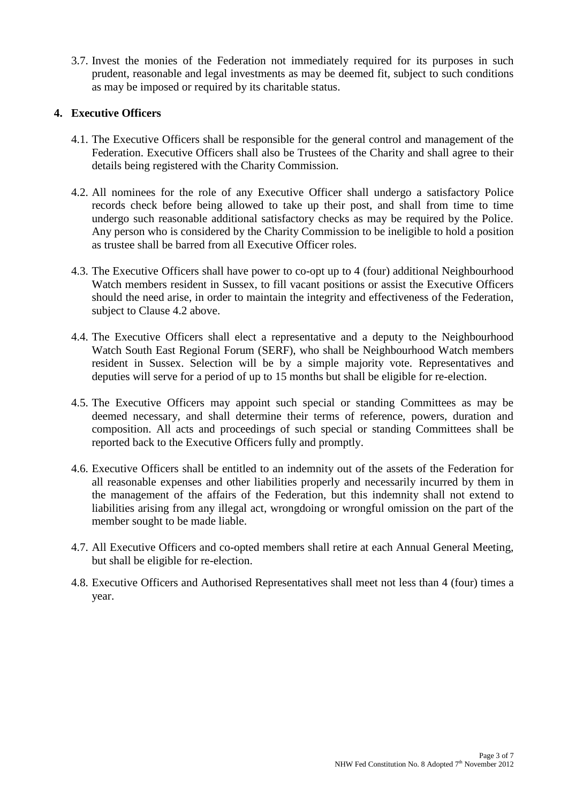3.7. Invest the monies of the Federation not immediately required for its purposes in such prudent, reasonable and legal investments as may be deemed fit, subject to such conditions as may be imposed or required by its charitable status.

### **4. Executive Officers**

- 4.1. The Executive Officers shall be responsible for the general control and management of the Federation. Executive Officers shall also be Trustees of the Charity and shall agree to their details being registered with the Charity Commission.
- 4.2. All nominees for the role of any Executive Officer shall undergo a satisfactory Police records check before being allowed to take up their post, and shall from time to time undergo such reasonable additional satisfactory checks as may be required by the Police. Any person who is considered by the Charity Commission to be ineligible to hold a position as trustee shall be barred from all Executive Officer roles.
- 4.3. The Executive Officers shall have power to co-opt up to 4 (four) additional Neighbourhood Watch members resident in Sussex, to fill vacant positions or assist the Executive Officers should the need arise, in order to maintain the integrity and effectiveness of the Federation, subject to Clause 4.2 above.
- 4.4. The Executive Officers shall elect a representative and a deputy to the Neighbourhood Watch South East Regional Forum (SERF), who shall be Neighbourhood Watch members resident in Sussex. Selection will be by a simple majority vote. Representatives and deputies will serve for a period of up to 15 months but shall be eligible for re-election.
- 4.5. The Executive Officers may appoint such special or standing Committees as may be deemed necessary, and shall determine their terms of reference, powers, duration and composition. All acts and proceedings of such special or standing Committees shall be reported back to the Executive Officers fully and promptly.
- 4.6. Executive Officers shall be entitled to an indemnity out of the assets of the Federation for all reasonable expenses and other liabilities properly and necessarily incurred by them in the management of the affairs of the Federation, but this indemnity shall not extend to liabilities arising from any illegal act, wrongdoing or wrongful omission on the part of the member sought to be made liable.
- 4.7. All Executive Officers and co-opted members shall retire at each Annual General Meeting, but shall be eligible for re-election.
- 4.8. Executive Officers and Authorised Representatives shall meet not less than 4 (four) times a year.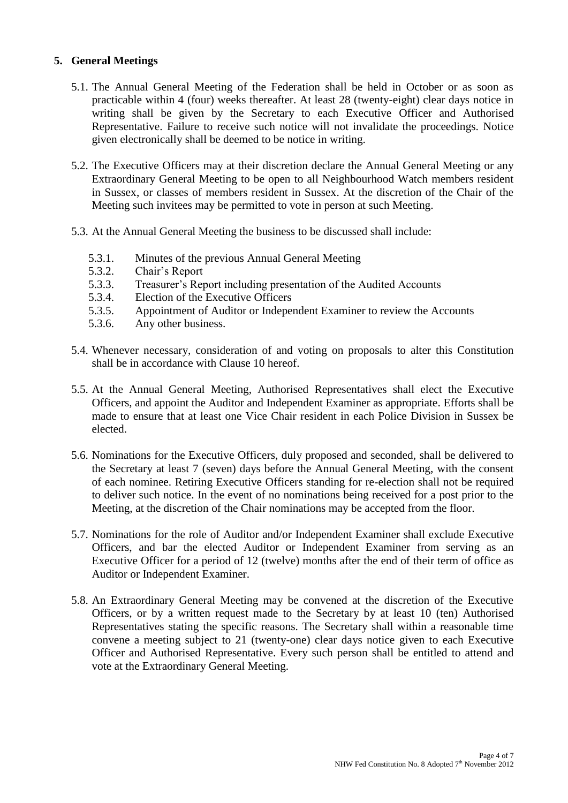# **5. General Meetings**

- 5.1. The Annual General Meeting of the Federation shall be held in October or as soon as practicable within 4 (four) weeks thereafter. At least 28 (twenty-eight) clear days notice in writing shall be given by the Secretary to each Executive Officer and Authorised Representative. Failure to receive such notice will not invalidate the proceedings. Notice given electronically shall be deemed to be notice in writing.
- 5.2. The Executive Officers may at their discretion declare the Annual General Meeting or any Extraordinary General Meeting to be open to all Neighbourhood Watch members resident in Sussex, or classes of members resident in Sussex. At the discretion of the Chair of the Meeting such invitees may be permitted to vote in person at such Meeting.
- 5.3. At the Annual General Meeting the business to be discussed shall include:
	- 5.3.1. Minutes of the previous Annual General Meeting
	- 5.3.2. Chair's Report
	- 5.3.3. Treasurer's Report including presentation of the Audited Accounts
	- 5.3.4. Election of the Executive Officers
	- 5.3.5. Appointment of Auditor or Independent Examiner to review the Accounts
	- 5.3.6. Any other business.
- 5.4. Whenever necessary, consideration of and voting on proposals to alter this Constitution shall be in accordance with Clause 10 hereof.
- 5.5. At the Annual General Meeting, Authorised Representatives shall elect the Executive Officers, and appoint the Auditor and Independent Examiner as appropriate. Efforts shall be made to ensure that at least one Vice Chair resident in each Police Division in Sussex be elected.
- 5.6. Nominations for the Executive Officers, duly proposed and seconded, shall be delivered to the Secretary at least 7 (seven) days before the Annual General Meeting, with the consent of each nominee. Retiring Executive Officers standing for re-election shall not be required to deliver such notice. In the event of no nominations being received for a post prior to the Meeting, at the discretion of the Chair nominations may be accepted from the floor.
- 5.7. Nominations for the role of Auditor and/or Independent Examiner shall exclude Executive Officers, and bar the elected Auditor or Independent Examiner from serving as an Executive Officer for a period of 12 (twelve) months after the end of their term of office as Auditor or Independent Examiner.
- 5.8. An Extraordinary General Meeting may be convened at the discretion of the Executive Officers, or by a written request made to the Secretary by at least 10 (ten) Authorised Representatives stating the specific reasons. The Secretary shall within a reasonable time convene a meeting subject to 21 (twenty-one) clear days notice given to each Executive Officer and Authorised Representative. Every such person shall be entitled to attend and vote at the Extraordinary General Meeting.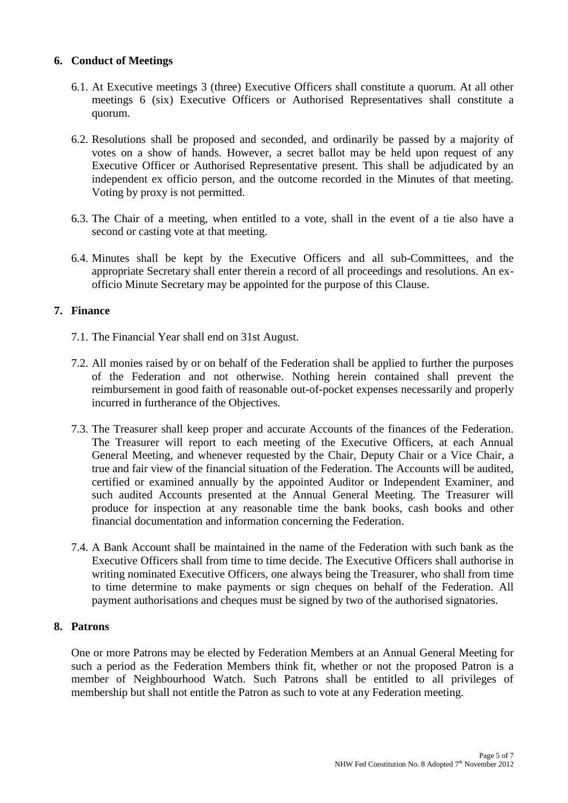### **6. Conduct of Meetings**

- 6.1. At Executive meetings 3 (three) Executive Officers shall constitute a quorum. At all other meetings 6 (six) Executive Officers or Authorised Representatives shall constitute a quorum.
- 6.2. Resolutions shall be proposed and seconded, and ordinarily be passed by a majority of votes on a show of hands. However, a secret ballot may be held upon request of any Executive Officer or Authorised Representative present. This shall be adjudicated by an independent ex officio person, and the outcome recorded in the Minutes of that meeting. Voting by proxy is not permitted.
- 6.3. The Chair of a meeting, when entitled to a vote, shall in the event of a tie also have a second or casting vote at that meeting.
- 6.4. Minutes shall be kept by the Executive Officers and all sub-Committees, and the appropriate Secretary shall enter therein a record of all proceedings and resolutions. An exofficio Minute Secretary may be appointed for the purpose of this Clause.

#### **7. Finance**

- 7.1. The Financial Year shall end on 31st August.
- 7.2. All monies raised by or on behalf of the Federation shall be applied to further the purposes of the Federation and not otherwise. Nothing herein contained shall prevent the reimbursement in good faith of reasonable out-of-pocket expenses necessarily and properly incurred in furtherance of the Objectives.
- 7.3. The Treasurer shall keep proper and accurate Accounts of the finances of the Federation. The Treasurer will report to each meeting of the Executive Officers, at each Annual General Meeting, and whenever requested by the Chair, Deputy Chair or a Vice Chair, a true and fair view of the financial situation of the Federation. The Accounts will be audited, certified or examined annually by the appointed Auditor or Independent Examiner, and such audited Accounts presented at the Annual General Meeting. The Treasurer will produce for inspection at any reasonable time the bank books, cash books and other financial documentation and information concerning the Federation.
- 7.4. A Bank Account shall be maintained in the name of the Federation with such bank as the Executive Officers shall from time to time decide. The Executive Officers shall authorise in writing nominated Executive Officers, one always being the Treasurer, who shall from time to time determine to make payments or sign cheques on behalf of the Federation. All payment authorisations and cheques must be signed by two of the authorised signatories.

#### **8. Patrons**

One or more Patrons may be elected by Federation Members at an Annual General Meeting for such a period as the Federation Members think fit, whether or not the proposed Patron is a member of Neighbourhood Watch. Such Patrons shall be entitled to all privileges of membership but shall not entitle the Patron as such to vote at any Federation meeting.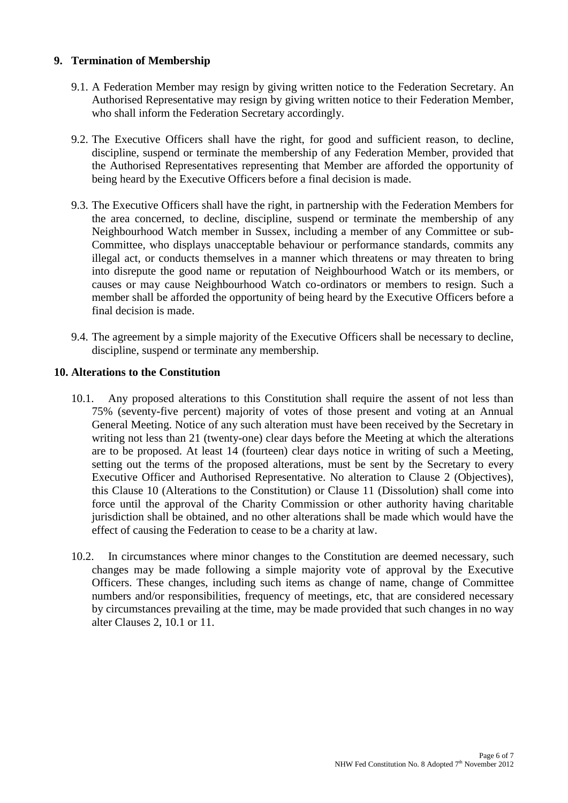### **9. Termination of Membership**

- 9.1. A Federation Member may resign by giving written notice to the Federation Secretary. An Authorised Representative may resign by giving written notice to their Federation Member, who shall inform the Federation Secretary accordingly.
- 9.2. The Executive Officers shall have the right, for good and sufficient reason, to decline, discipline, suspend or terminate the membership of any Federation Member, provided that the Authorised Representatives representing that Member are afforded the opportunity of being heard by the Executive Officers before a final decision is made.
- 9.3. The Executive Officers shall have the right, in partnership with the Federation Members for the area concerned, to decline, discipline, suspend or terminate the membership of any Neighbourhood Watch member in Sussex, including a member of any Committee or sub-Committee, who displays unacceptable behaviour or performance standards, commits any illegal act, or conducts themselves in a manner which threatens or may threaten to bring into disrepute the good name or reputation of Neighbourhood Watch or its members, or causes or may cause Neighbourhood Watch co-ordinators or members to resign. Such a member shall be afforded the opportunity of being heard by the Executive Officers before a final decision is made.
- 9.4. The agreement by a simple majority of the Executive Officers shall be necessary to decline, discipline, suspend or terminate any membership.

#### **10. Alterations to the Constitution**

- 10.1. Any proposed alterations to this Constitution shall require the assent of not less than 75% (seventy-five percent) majority of votes of those present and voting at an Annual General Meeting. Notice of any such alteration must have been received by the Secretary in writing not less than 21 (twenty-one) clear days before the Meeting at which the alterations are to be proposed. At least 14 (fourteen) clear days notice in writing of such a Meeting, setting out the terms of the proposed alterations, must be sent by the Secretary to every Executive Officer and Authorised Representative. No alteration to Clause 2 (Objectives), this Clause 10 (Alterations to the Constitution) or Clause 11 (Dissolution) shall come into force until the approval of the Charity Commission or other authority having charitable jurisdiction shall be obtained, and no other alterations shall be made which would have the effect of causing the Federation to cease to be a charity at law.
- 10.2. In circumstances where minor changes to the Constitution are deemed necessary, such changes may be made following a simple majority vote of approval by the Executive Officers. These changes, including such items as change of name, change of Committee numbers and/or responsibilities, frequency of meetings, etc, that are considered necessary by circumstances prevailing at the time, may be made provided that such changes in no way alter Clauses 2, 10.1 or 11.